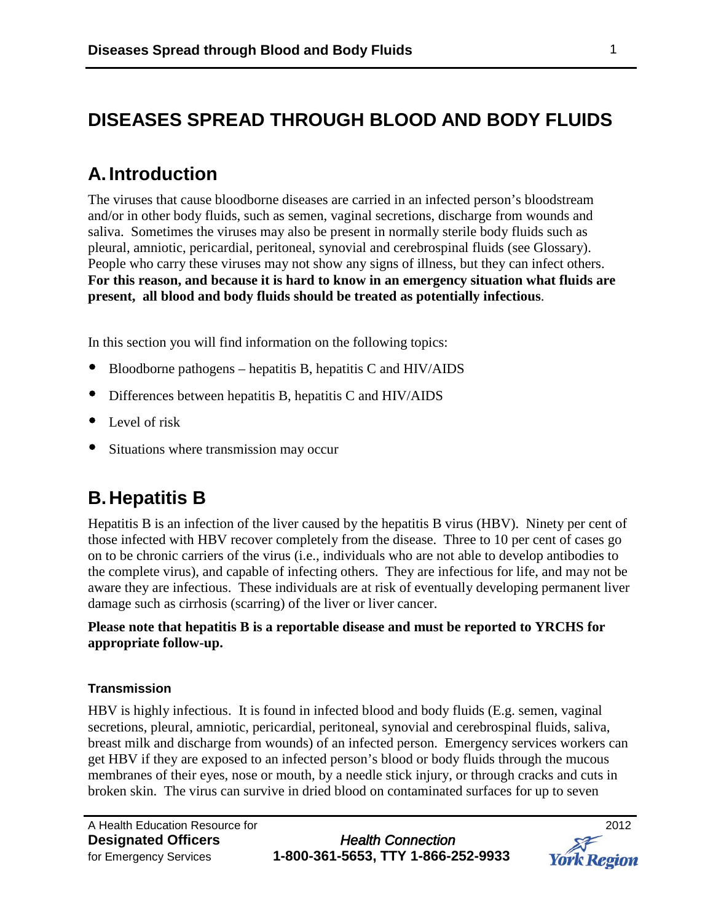# **DISEASES SPREAD THROUGH BLOOD AND BODY FLUIDS**

# **A. Introduction**

The viruses that cause bloodborne diseases are carried in an infected person's bloodstream and/or in other body fluids, such as semen, vaginal secretions, discharge from wounds and saliva. Sometimes the viruses may also be present in normally sterile body fluids such as pleural, amniotic, pericardial, peritoneal, synovial and cerebrospinal fluids (see Glossary). People who carry these viruses may not show any signs of illness, but they can infect others. **For this reason, and because it is hard to know in an emergency situation what fluids are present, all blood and body fluids should be treated as potentially infectious**.

In this section you will find information on the following topics:

- Bloodborne pathogens hepatitis B, hepatitis C and HIV/AIDS
- Differences between hepatitis B, hepatitis C and HIV/AIDS
- Level of risk
- Situations where transmission may occur

# **B.Hepatitis B**

Hepatitis B is an infection of the liver caused by the hepatitis B virus (HBV). Ninety per cent of those infected with HBV recover completely from the disease. Three to 10 per cent of cases go on to be chronic carriers of the virus (i.e., individuals who are not able to develop antibodies to the complete virus), and capable of infecting others. They are infectious for life, and may not be aware they are infectious. These individuals are at risk of eventually developing permanent liver damage such as cirrhosis (scarring) of the liver or liver cancer.

#### **Please note that hepatitis B is a reportable disease and must be reported to YRCHS for appropriate follow-up.**

#### **Transmission**

HBV is highly infectious. It is found in infected blood and body fluids (E.g. semen, vaginal secretions, pleural, amniotic, pericardial, peritoneal, synovial and cerebrospinal fluids, saliva, breast milk and discharge from wounds) of an infected person. Emergency services workers can get HBV if they are exposed to an infected person's blood or body fluids through the mucous membranes of their eyes, nose or mouth, by a needle stick injury, or through cracks and cuts in broken skin. The virus can survive in dried blood on contaminated surfaces for up to seven

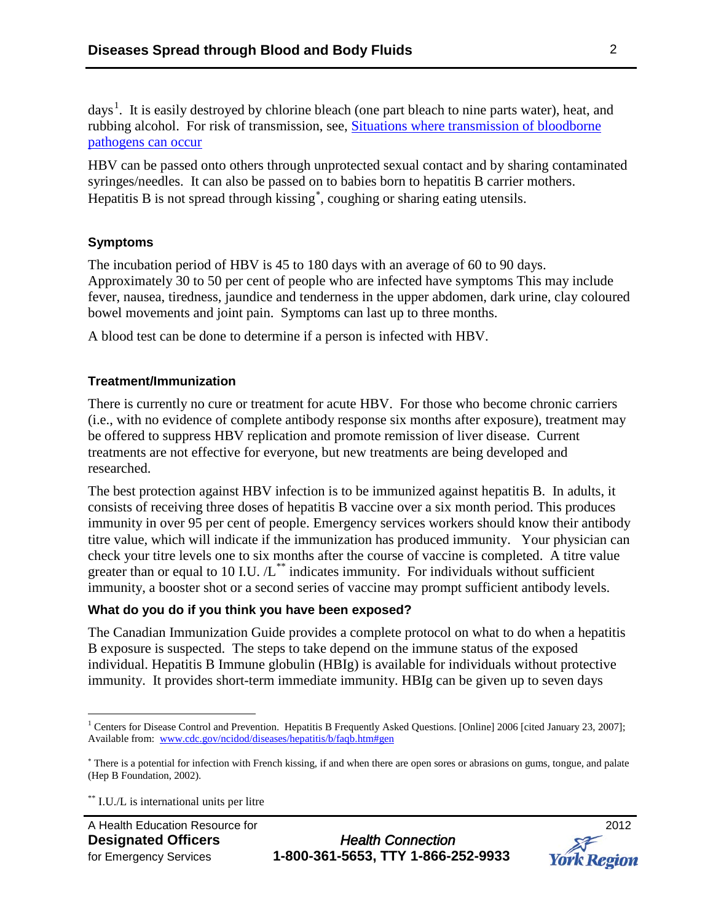days<sup>[1](#page-1-0)</sup>. It is easily destroyed by chlorine bleach (one part bleach to nine parts water), heat, and rubbing alcohol. For risk of transmission, see, [Situations where transmission of bloodborne](http://www.york.ca/Services/Public+Health+and+Safety/Infectious+Diseases/DOP-Bloodborne+pathogens.htm)  [pathogens can occur](http://www.york.ca/Services/Public+Health+and+Safety/Infectious+Diseases/DOP-Bloodborne+pathogens.htm)

HBV can be passed onto others through unprotected sexual contact and by sharing contaminated syringes/needles. It can also be passed on to babies born to hepatitis B carrier mothers. Hepatitis B is not spread through kissing<sup>\*</sup>, coughing or sharing eating utensils.

#### **Symptoms**

The incubation period of HBV is 45 to 180 days with an average of 60 to 90 days. Approximately 30 to 50 per cent of people who are infected have symptoms This may include fever, nausea, tiredness, jaundice and tenderness in the upper abdomen, dark urine, clay coloured bowel movements and joint pain. Symptoms can last up to three months.

A blood test can be done to determine if a person is infected with HBV.

#### **Treatment/Immunization**

There is currently no cure or treatment for acute HBV. For those who become chronic carriers (i.e., with no evidence of complete antibody response six months after exposure), treatment may be offered to suppress HBV replication and promote remission of liver disease. Current treatments are not effective for everyone, but new treatments are being developed and researched.

The best protection against HBV infection is to be immunized against hepatitis B. In adults, it consists of receiving three doses of hepatitis B vaccine over a six month period. This produces immunity in over 95 per cent of people. Emergency services workers should know their antibody titre value, which will indicate if the immunization has produced immunity. Your physician can check your titre levels one to six months after the course of vaccine is completed. A titre value greater than or equal to 10 I.U.  $/L^{**}$  $/L^{**}$  $/L^{**}$  indicates immunity. For individuals without sufficient immunity, a booster shot or a second series of vaccine may prompt sufficient antibody levels.

#### **What do you do if you think you have been exposed?**

The Canadian Immunization Guide provides a complete protocol on what to do when a hepatitis B exposure is suspected. The steps to take depend on the immune status of the exposed individual. Hepatitis B Immune globulin (HBIg) is available for individuals without protective immunity. It provides short-term immediate immunity. HBIg can be given up to seven days



<span id="page-1-0"></span><sup>&</sup>lt;sup>1</sup> Centers for Disease Control and Prevention. Hepatitis B Frequently Asked Questions. [Online] 2006 [cited January 23, 2007]; Available from: [www.cdc.gov/ncidod/diseases/hepatitis/b/faqb.htm#gen](http://www.cdc.gov/ncidod/diseases/hepatitis/b/faqb.htm#gen)

<span id="page-1-1"></span><sup>∗</sup> There is a potential for infection with French kissing, if and when there are open sores or abrasions on gums, tongue, and palate (Hep B Foundation, 2002).

<span id="page-1-2"></span><sup>\*\*</sup> I.U./L is international units per litre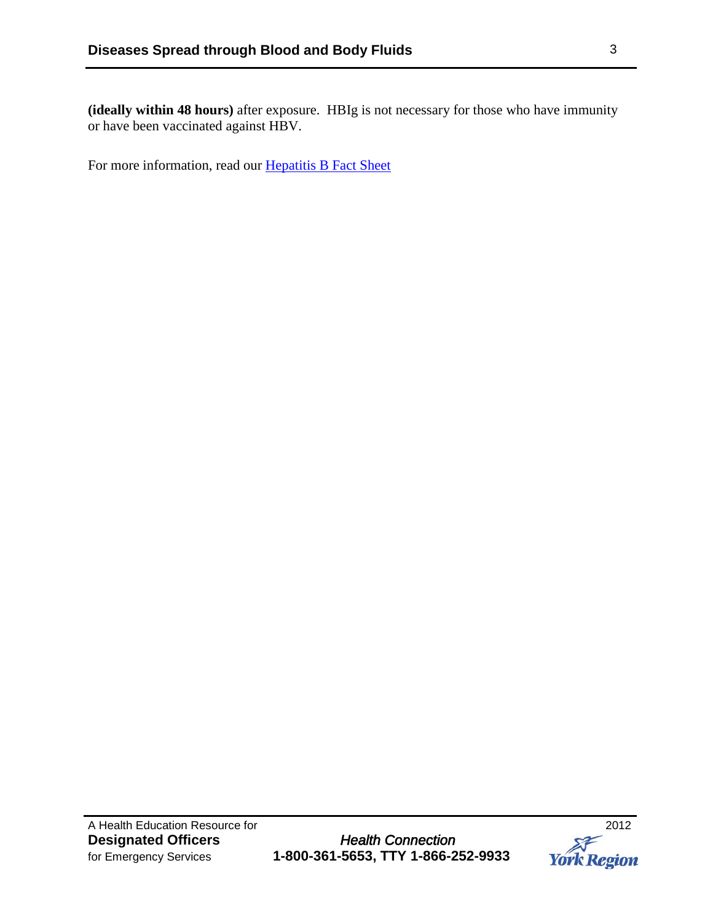**(ideally within 48 hours)** after exposure. HBIg is not necessary for those who have immunity or have been vaccinated against HBV.

For more information, read our [Hepatitis B Fact Sheet](http://www.york.ca/NR/rdonlyres/fckikfm4pikcawwow237gzc3xexgokz2a4d7al5maowqspgf6yunc22swtablklta6ae5voqi5mwwshchaikot4olf/4728+Hep+B+Fact+sheet.pdf)

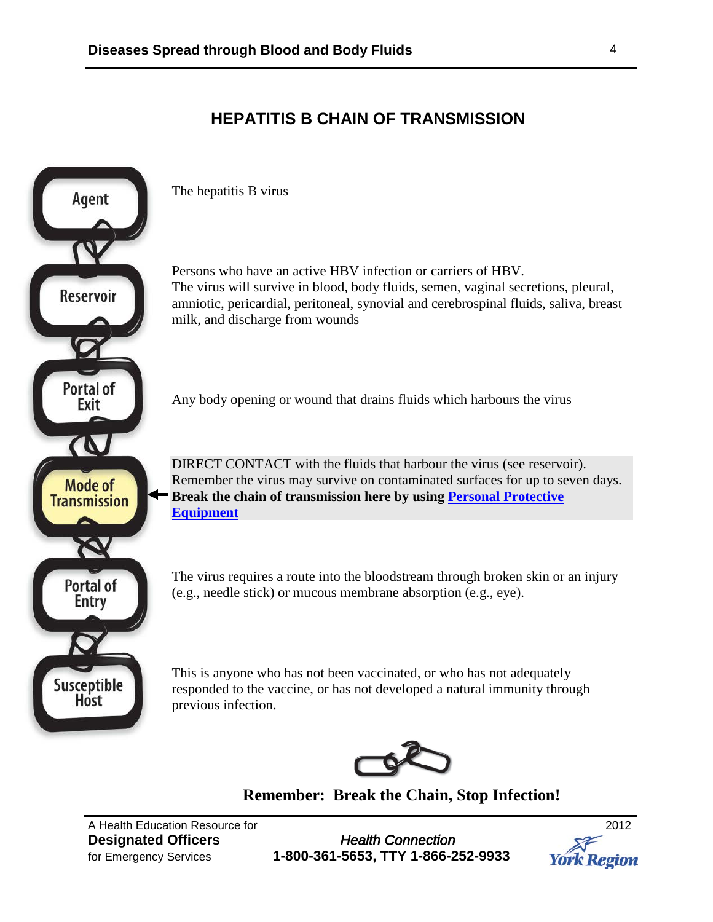## **HEPATITIS B CHAIN OF TRANSMISSION**



**Remember: Break the Chain, Stop Infection!**

A Health Education Resource for 2012

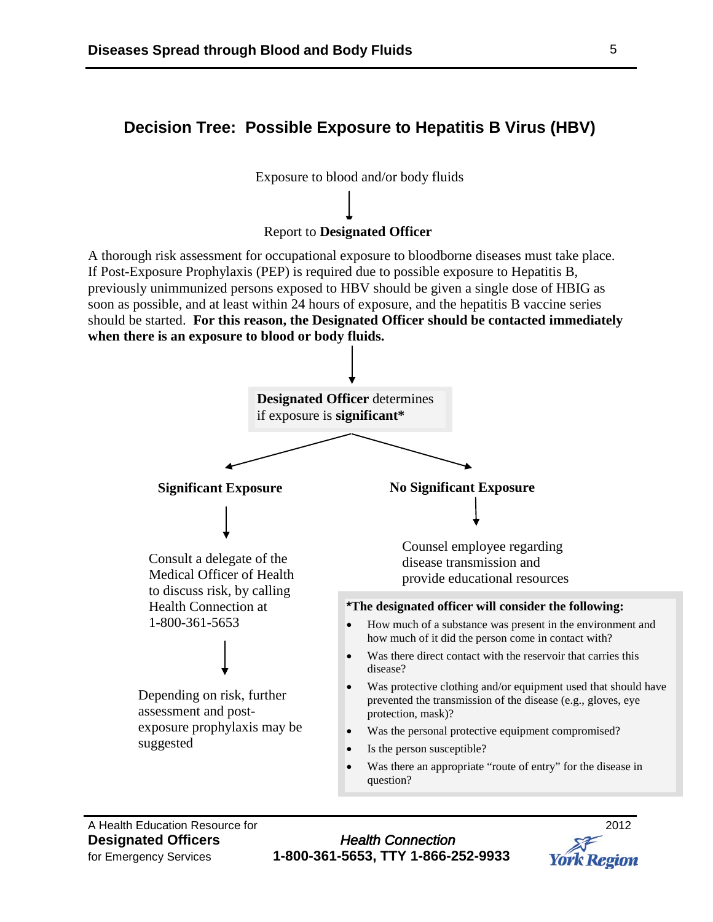### **Decision Tree: Possible Exposure to Hepatitis B Virus (HBV)**



A Health Education Resource for 2012

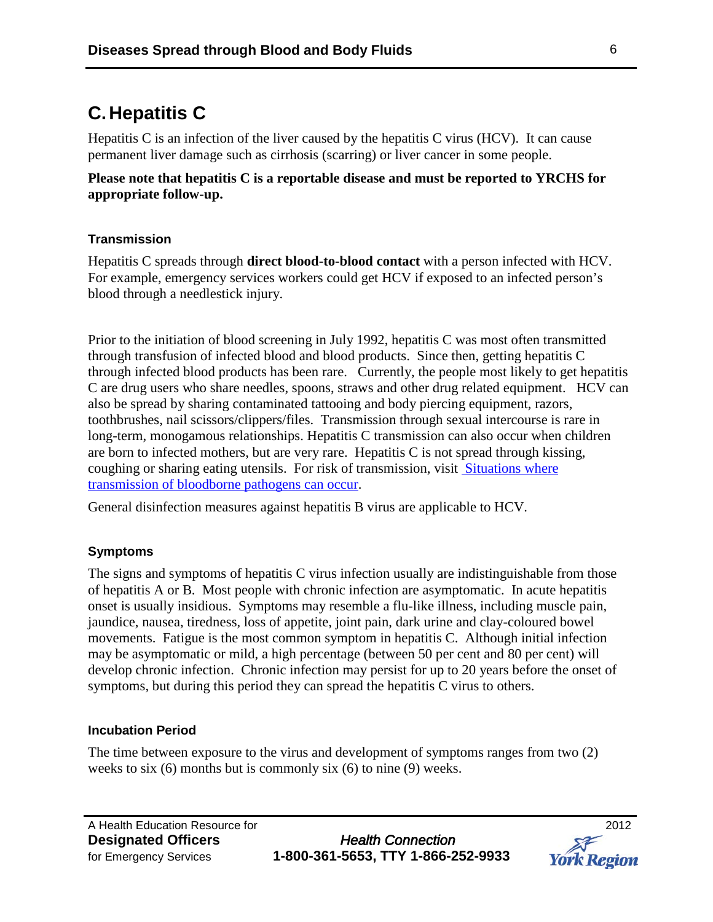# **C.Hepatitis C**

Hepatitis C is an infection of the liver caused by the hepatitis C virus (HCV). It can cause permanent liver damage such as cirrhosis (scarring) or liver cancer in some people.

**Please note that hepatitis C is a reportable disease and must be reported to YRCHS for appropriate follow-up.** 

#### **Transmission**

Hepatitis C spreads through **direct blood-to-blood contact** with a person infected with HCV. For example, emergency services workers could get HCV if exposed to an infected person's blood through a needlestick injury.

Prior to the initiation of blood screening in July 1992, hepatitis C was most often transmitted through transfusion of infected blood and blood products. Since then, getting hepatitis C through infected blood products has been rare. Currently, the people most likely to get hepatitis C are drug users who share needles, spoons, straws and other drug related equipment. HCV can also be spread by sharing contaminated tattooing and body piercing equipment, razors, toothbrushes, nail scissors/clippers/files. Transmission through sexual intercourse is rare in long-term, monogamous relationships. Hepatitis C transmission can also occur when children are born to infected mothers, but are very rare. Hepatitis C is not spread through kissing, coughing or sharing eating utensils. For risk of transmission, visit [Situations where](http://www.york.ca/Services/Public+Health+and+Safety/Infectious+Diseases/DOP-Bloodborne+pathogens.htm)  [transmission of bloodborne pathogens can occur.](http://www.york.ca/Services/Public+Health+and+Safety/Infectious+Diseases/DOP-Bloodborne+pathogens.htm)

General disinfection measures against hepatitis B virus are applicable to HCV.

#### **Symptoms**

The signs and symptoms of hepatitis C virus infection usually are indistinguishable from those of hepatitis A or B. Most people with chronic infection are asymptomatic. In acute hepatitis onset is usually insidious. Symptoms may resemble a flu-like illness, including muscle pain, jaundice, nausea, tiredness, loss of appetite, joint pain, dark urine and clay-coloured bowel movements. Fatigue is the most common symptom in hepatitis C. Although initial infection may be asymptomatic or mild, a high percentage (between 50 per cent and 80 per cent) will develop chronic infection. Chronic infection may persist for up to 20 years before the onset of symptoms, but during this period they can spread the hepatitis C virus to others.

#### **Incubation Period**

The time between exposure to the virus and development of symptoms ranges from two (2) weeks to six (6) months but is commonly six (6) to nine (9) weeks.

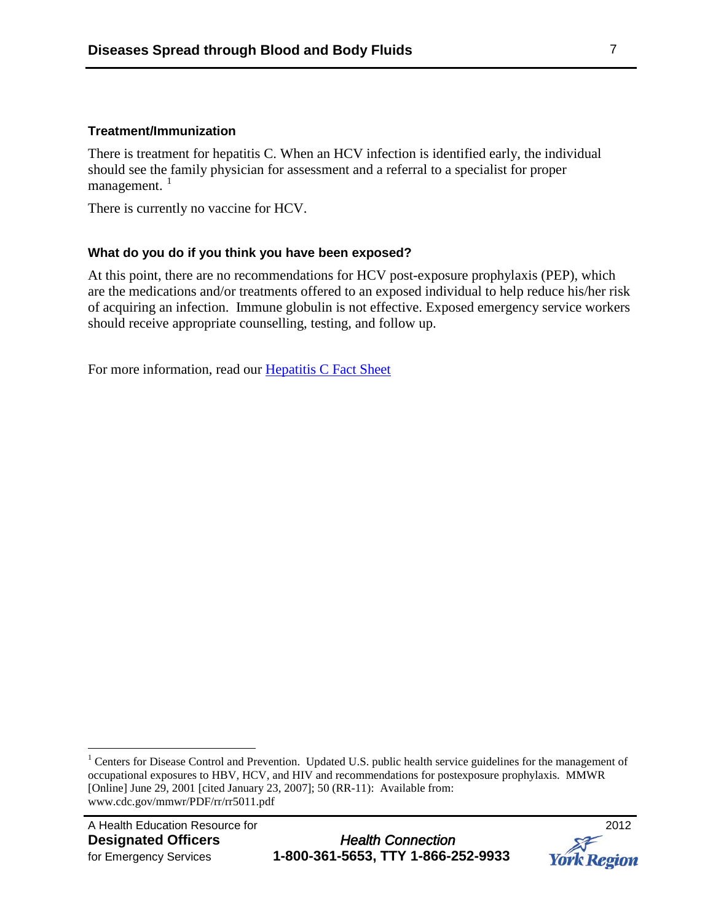#### **Treatment/Immunization**

There is treatment for hepatitis C. When an HCV infection is identified early, the individual should see the family physician for assessment and a referral to a specialist for proper management.<sup>[1](#page-6-0)</sup>

There is currently no vaccine for HCV.

#### **What do you do if you think you have been exposed?**

At this point, there are no recommendations for HCV post-exposure prophylaxis (PEP), which are the medications and/or treatments offered to an exposed individual to help reduce his/her risk of acquiring an infection. Immune globulin is not effective. Exposed emergency service workers should receive appropriate counselling, testing, and follow up.

For more information, read our [Hepatitis C Fact Sheet](http://www.york.ca/NR/rdonlyres/jlgdh5bqyytqigy36ahbyn43rhtsfzz7tnia6tjwtekzsnahnfqij7miwuvfwxnty6psbphtmst2otcn6jgzzjfeud/4728+Hep+C+Fact+sheet.pdfhttp:/www.york.ca/Departments/Health+Services/Health+Services+Facts+Sheets.htm)



<span id="page-6-0"></span><sup>&</sup>lt;sup>1</sup> Centers for Disease Control and Prevention. Updated U.S. public health service guidelines for the management of occupational exposures to HBV, HCV, and HIV and recommendations for postexposure prophylaxis. MMWR [Online] June 29, 2001 [cited January 23, 2007]; 50 (RR-11): Available from: www.cdc.gov/mmwr/PDF/rr/rr5011.pdf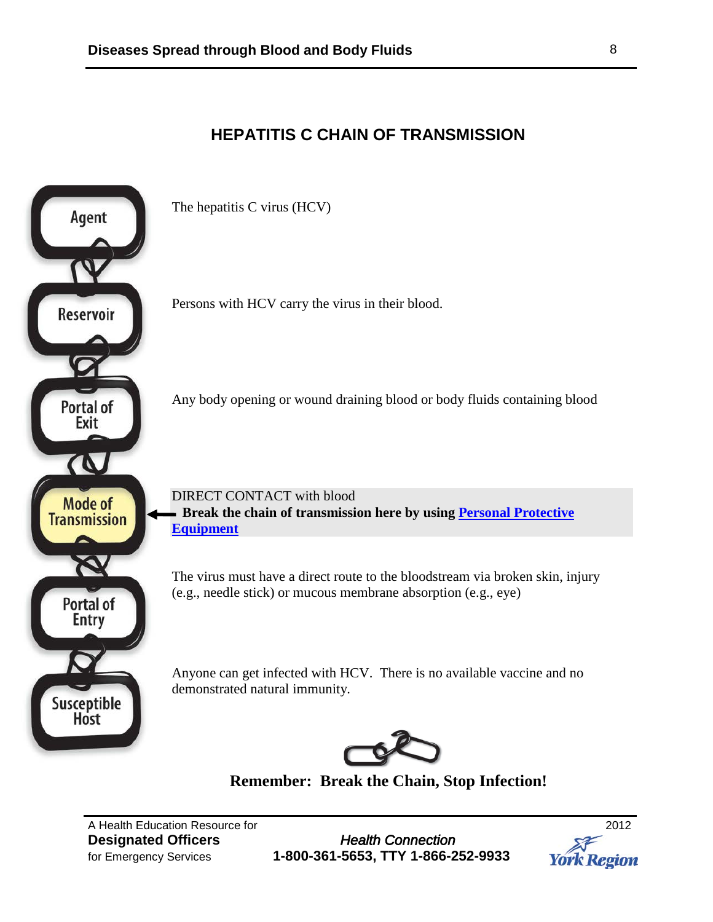## **HEPATITIS C CHAIN OF TRANSMISSION**



**Remember: Break the Chain, Stop Infection!**

A Health Education Resource for 2012

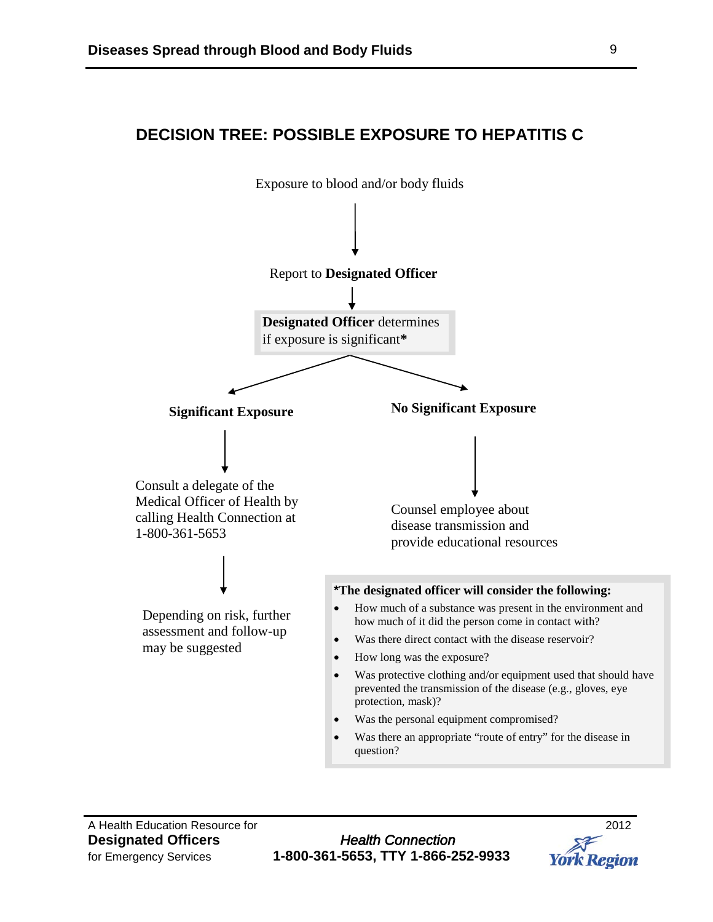## **DECISION TREE: POSSIBLE EXPOSURE TO HEPATITIS C**



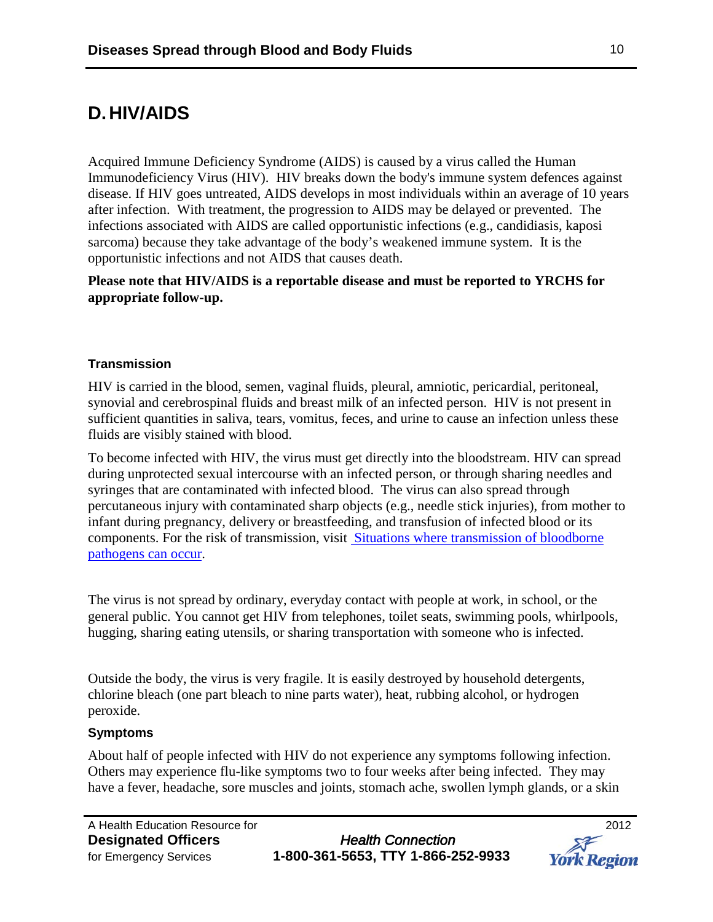# **D.HIV/AIDS**

Acquired Immune Deficiency Syndrome (AIDS) is caused by a virus called the Human Immunodeficiency Virus (HIV). HIV breaks down the body's immune system defences against disease. If HIV goes untreated, AIDS develops in most individuals within an average of 10 years after infection. With treatment, the progression to AIDS may be delayed or prevented. The infections associated with AIDS are called opportunistic infections (e.g., candidiasis, kaposi sarcoma) because they take advantage of the body's weakened immune system. It is the opportunistic infections and not AIDS that causes death.

**Please note that HIV/AIDS is a reportable disease and must be reported to YRCHS for appropriate follow-up.** 

#### **Transmission**

HIV is carried in the blood, semen, vaginal fluids, pleural, amniotic, pericardial, peritoneal, synovial and cerebrospinal fluids and breast milk of an infected person. HIV is not present in sufficient quantities in saliva, tears, vomitus, feces, and urine to cause an infection unless these fluids are visibly stained with blood.

To become infected with HIV, the virus must get directly into the bloodstream. HIV can spread during unprotected sexual intercourse with an infected person, or through sharing needles and syringes that are contaminated with infected blood. The virus can also spread through percutaneous injury with contaminated sharp objects (e.g., needle stick injuries), from mother to infant during pregnancy, delivery or breastfeeding, and transfusion of infected blood or its components. For the risk of transmission, visit [Situations where transmission of bloodborne](http://www.york.ca/Services/Public+Health+and+Safety/Infectious+Diseases/DOP-Bloodborne+pathogens.htm)  [pathogens can occur.](http://www.york.ca/Services/Public+Health+and+Safety/Infectious+Diseases/DOP-Bloodborne+pathogens.htm)

The virus is not spread by ordinary, everyday contact with people at work, in school, or the general public. You cannot get HIV from telephones, toilet seats, swimming pools, whirlpools, hugging, sharing eating utensils, or sharing transportation with someone who is infected.

Outside the body, the virus is very fragile. It is easily destroyed by household detergents, chlorine bleach (one part bleach to nine parts water), heat, rubbing alcohol, or hydrogen peroxide.

#### **Symptoms**

About half of people infected with HIV do not experience any symptoms following infection. Others may experience flu-like symptoms two to four weeks after being infected. They may have a fever, headache, sore muscles and joints, stomach ache, swollen lymph glands, or a skin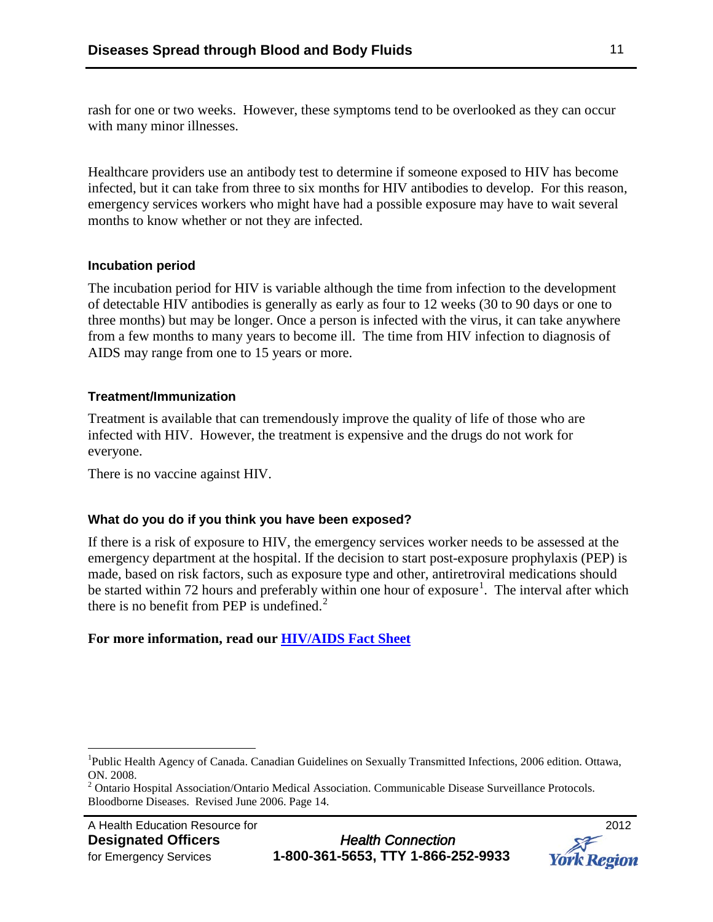rash for one or two weeks. However, these symptoms tend to be overlooked as they can occur with many minor illnesses.

Healthcare providers use an antibody test to determine if someone exposed to HIV has become infected, but it can take from three to six months for HIV antibodies to develop. For this reason, emergency services workers who might have had a possible exposure may have to wait several months to know whether or not they are infected.

#### **Incubation period**

The incubation period for HIV is variable although the time from infection to the development of detectable HIV antibodies is generally as early as four to 12 weeks (30 to 90 days or one to three months) but may be longer. Once a person is infected with the virus, it can take anywhere from a few months to many years to become ill. The time from HIV infection to diagnosis of AIDS may range from one to 15 years or more.

#### **Treatment/Immunization**

Treatment is available that can tremendously improve the quality of life of those who are infected with HIV. However, the treatment is expensive and the drugs do not work for everyone.

There is no vaccine against HIV.

#### **What do you do if you think you have been exposed?**

If there is a risk of exposure to HIV, the emergency services worker needs to be assessed at the emergency department at the hospital. If the decision to start post-exposure prophylaxis (PEP) is made, based on risk factors, such as exposure type and other, antiretroviral medications should be started within 72 hours and preferably within one hour of exposure<sup>[1](#page-10-0)</sup>. The interval after which there is no benefit from PEP is undefined.<sup>[2](#page-10-1)</sup>

#### **For more information, read our [HIV/AIDS Fact Sheet](http://www.york.ca/NR/rdonlyres/aus5dfh5qczmbxsftny4nd2gejkfx7sqjulfxkdooudotjcqqt76ainp6cnrgxdr6yofwrdufnjrigwrhi7qq5uhdb/4844_HIVAIDS.pdf)**

<span id="page-10-0"></span><sup>|&</sup>lt;br>|<br>| Public Health Agency of Canada. Canadian Guidelines on Sexually Transmitted Infections, 2006 edition. Ottawa, ON. 2008.

<span id="page-10-1"></span> $2$  Ontario Hospital Association/Ontario Medical Association. Communicable Disease Surveillance Protocols. Bloodborne Diseases. Revised June 2006. Page 14.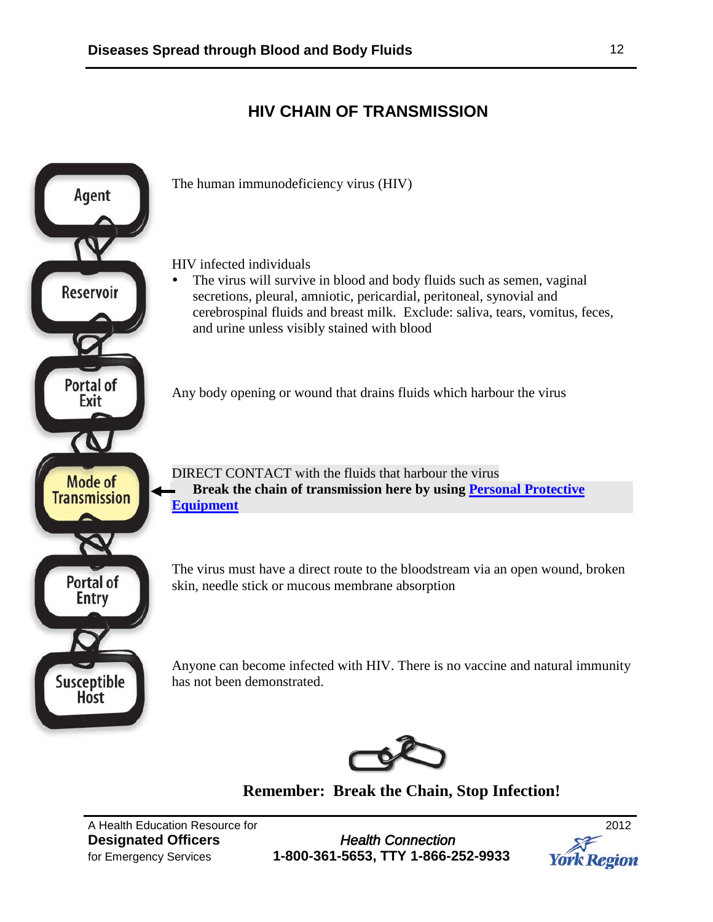## **HIV CHAIN OF TRANSMISSION**



**Remember: Break the Chain, Stop Infection!**

A Health Education Resource for 2012

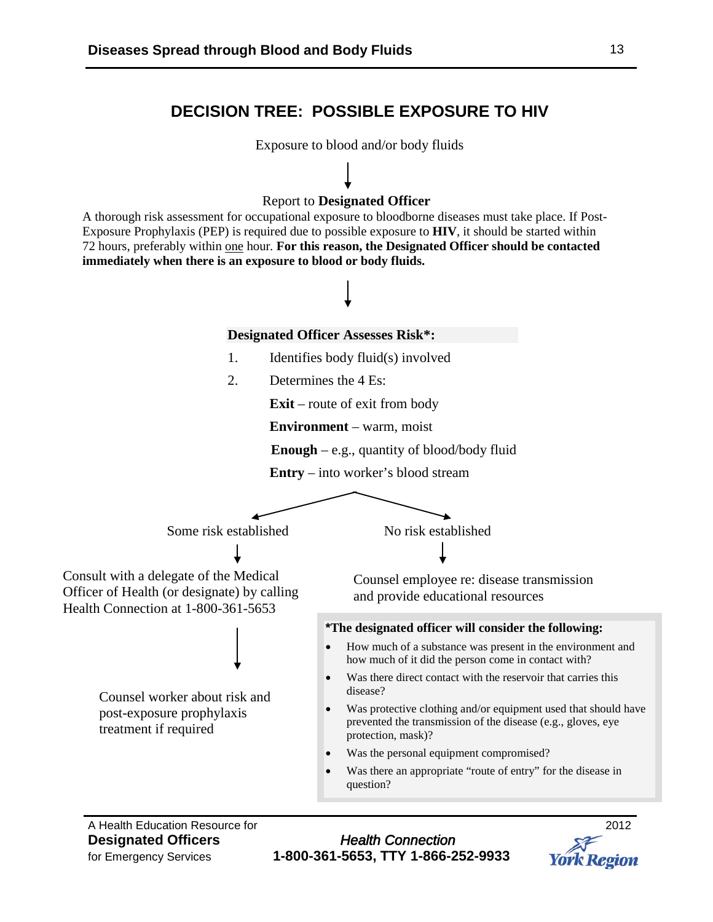### **DECISION TREE: POSSIBLE EXPOSURE TO HIV**

Exposure to blood and/or body fluids

#### Report to **Designated Officer**

A thorough risk assessment for occupational exposure to bloodborne diseases must take place. If Post-Exposure Prophylaxis (PEP) is required due to possible exposure to **HIV**, it should be started within 72 hours, preferably within one hour*.* **For this reason, the Designated Officer should be contacted immediately when there is an exposure to blood or body fluids.**



A Health Education Resource for 2012

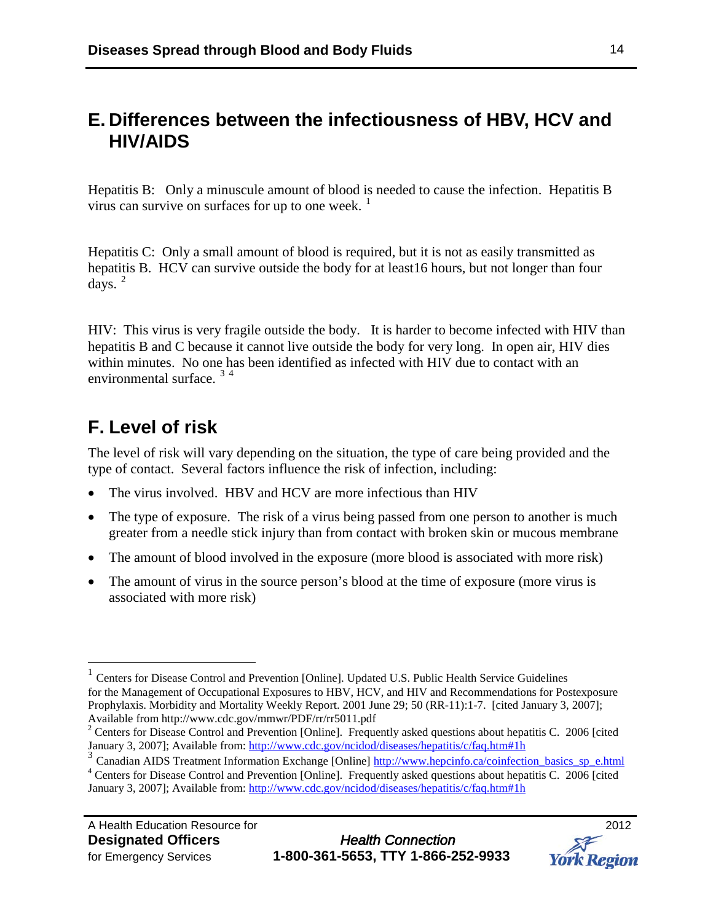## **E. Differences between the infectiousness of HBV, HCV and HIV/AIDS**

Hepatitis B: Only a minuscule amount of blood is needed to cause the infection. Hepatitis B virus can survive on surfaces for up to one week.  $1$ 

Hepatitis C: Only a small amount of blood is required, but it is not as easily transmitted as hepatitis B. HCV can survive outside the body for at least16 hours, but not longer than four  $days.$ <sup>[2](#page-13-1)</sup>

HIV: This virus is very fragile outside the body. It is harder to become infected with HIV than hepatitis B and C because it cannot live outside the body for very long. In open air, HIV dies within minutes. No one has been identified as infected with HIV due to contact with an environmental surface.<sup>[3](#page-13-2)[4](#page-13-3)</sup>

# **F. Level of risk**

The level of risk will vary depending on the situation, the type of care being provided and the type of contact. Several factors influence the risk of infection, including:

- The virus involved. HBV and HCV are more infectious than HIV
- The type of exposure. The risk of a virus being passed from one person to another is much greater from a needle stick injury than from contact with broken skin or mucous membrane
- The amount of blood involved in the exposure (more blood is associated with more risk)
- The amount of virus in the source person's blood at the time of exposure (more virus is associated with more risk)



<span id="page-13-0"></span> <sup>1</sup> Centers for Disease Control and Prevention [Online]. Updated U.S. Public Health Service Guidelines for the Management of Occupational Exposures to HBV, HCV, and HIV and Recommendations for Postexposure Prophylaxis. Morbidity and Mortality Weekly Report. 2001 June 29; 50 (RR-11):1-7. [cited January 3, 2007]; Available from http://www.cdc.gov/mmwr/PDF/rr/rr5011.pdf

<span id="page-13-1"></span> $2^2$  Centers for Disease Control and Prevention [Online]. Frequently asked questions about hepatitis C. 2006 [cited January 3, 2007]; Available from:<http://www.cdc.gov/ncidod/diseases/hepatitis/c/faq.htm#1h>

<span id="page-13-3"></span><span id="page-13-2"></span><sup>3&</sup>lt;br><sup>3</sup> Canadian AIDS Treatment Information Exchange [Online] [http://www.hepcinfo.ca/coinfection\\_basics\\_sp\\_e.html](http://www.hepcinfo.ca/coinfection_basics_sp_e.html) <sup>4</sup> Centers for Disease Control and Prevention [Online]. Frequently asked questions about hepatitis C. 2006 [cited January 3, 2007]; Available from: <http://www.cdc.gov/ncidod/diseases/hepatitis/c/faq.htm#1h>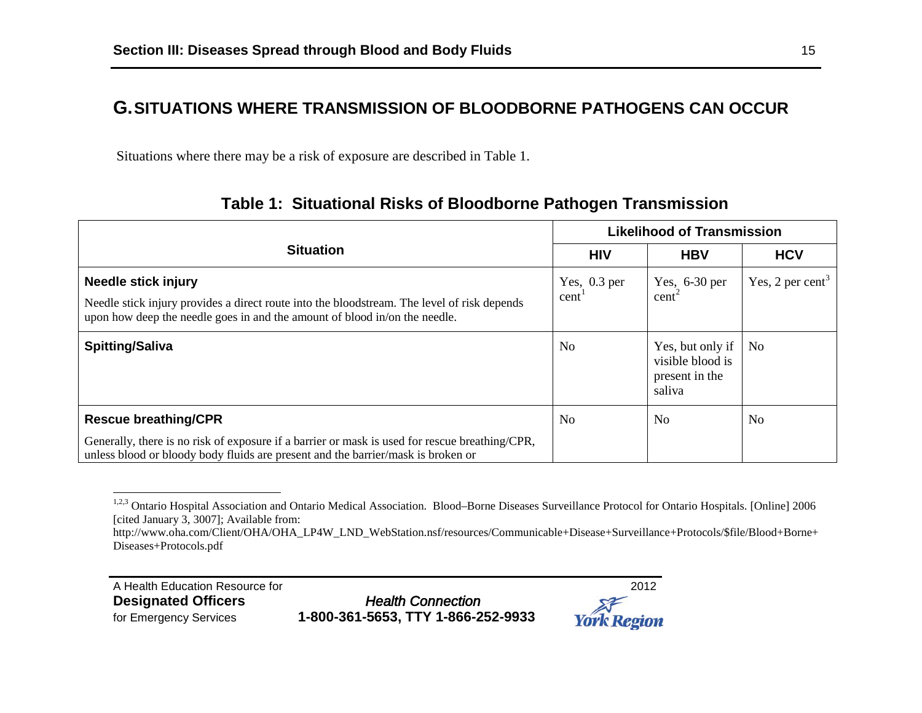## **G.SITUATIONS WHERE TRANSMISSION OF BLOODBORNE PATHOGENS CAN OCCUR**

Situations where there may be a risk of exposure are described in Table 1.

|                                                                                                                                                                                                         | <b>Likelihood of Transmission</b> |                                                                  |                              |
|---------------------------------------------------------------------------------------------------------------------------------------------------------------------------------------------------------|-----------------------------------|------------------------------------------------------------------|------------------------------|
| <b>Situation</b>                                                                                                                                                                                        | <b>HIV</b>                        | <b>HBV</b>                                                       | <b>HCV</b>                   |
| <b>Needle stick injury</b><br>Needle stick injury provides a direct route into the bloodstream. The level of risk depends<br>upon how deep the needle goes in and the amount of blood in/on the needle. | Yes, $0.3$ per<br>cent            | Yes, $6-30$ per<br>cent <sup>2</sup>                             | Yes, 2 per cent <sup>3</sup> |
| <b>Spitting/Saliva</b>                                                                                                                                                                                  | No                                | Yes, but only if<br>visible blood is<br>present in the<br>saliva | N <sub>0</sub>               |
| <b>Rescue breathing/CPR</b>                                                                                                                                                                             | No                                | No                                                               | N <sub>0</sub>               |
| Generally, there is no risk of exposure if a barrier or mask is used for rescue breathing/CPR,<br>unless blood or bloody body fluids are present and the barrier/mask is broken or                      |                                   |                                                                  |                              |

## <span id="page-14-2"></span><span id="page-14-1"></span><span id="page-14-0"></span>**Table 1: Situational Risks of Bloodborne Pathogen Transmission**

A Health Education Resource for<br> **Designated Officers**2012 **Designated Officers** 

for Emergency Services **1-800-361-5653, TTY 1-866-252-9933** 



<sup>&</sup>lt;sup>1,2,3</sup> Ontario Hospital Association and Ontario Medical Association. Blood–Borne Diseases Surveillance Protocol for Ontario Hospitals. [Online] 2006 [cited January 3, 3007]; Available from:

http://www.oha.com/Client/OHA/OHA\_LP4W\_LND\_WebStation.nsf/resources/Communicable+Disease+Surveillance+Protocols/\$file/Blood+Borne+ Diseases+Protocols.pdf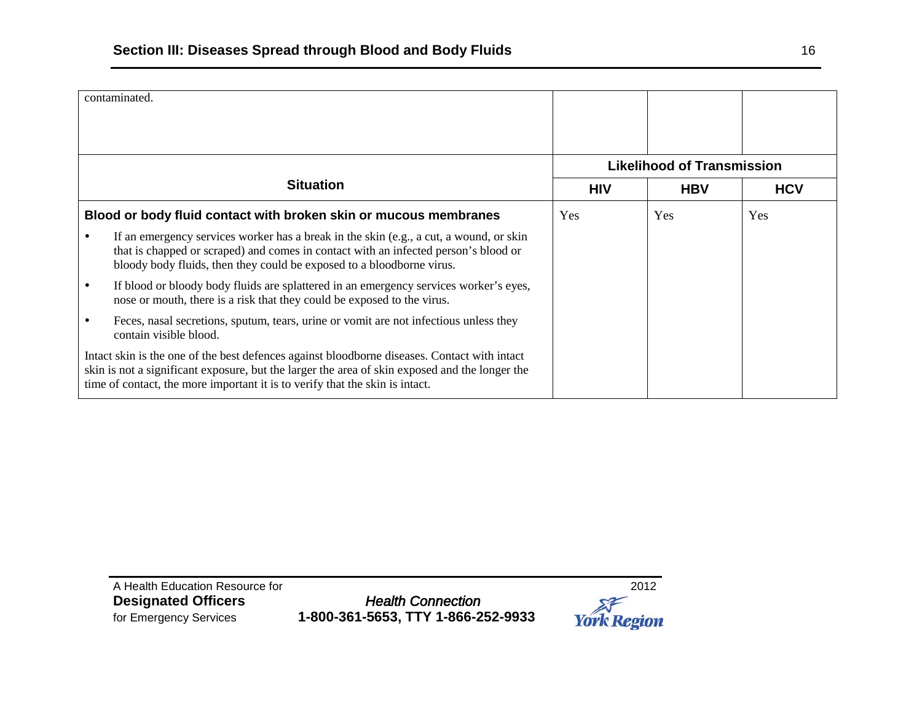|                                                                  | contaminated.                                                                                                                                                                                                                                                                  |                                   |            |            |
|------------------------------------------------------------------|--------------------------------------------------------------------------------------------------------------------------------------------------------------------------------------------------------------------------------------------------------------------------------|-----------------------------------|------------|------------|
|                                                                  |                                                                                                                                                                                                                                                                                | <b>Likelihood of Transmission</b> |            |            |
|                                                                  | <b>Situation</b>                                                                                                                                                                                                                                                               | <b>HIV</b>                        | <b>HBV</b> | <b>HCV</b> |
| Blood or body fluid contact with broken skin or mucous membranes |                                                                                                                                                                                                                                                                                | Yes                               | Yes        | Yes        |
|                                                                  | If an emergency services worker has a break in the skin (e.g., a cut, a wound, or skin<br>that is chapped or scraped) and comes in contact with an infected person's blood or<br>bloody body fluids, then they could be exposed to a bloodborne virus.                         |                                   |            |            |
|                                                                  | If blood or bloody body fluids are splattered in an emergency services worker's eyes,<br>nose or mouth, there is a risk that they could be exposed to the virus.                                                                                                               |                                   |            |            |
|                                                                  | Feces, nasal secretions, sputum, tears, urine or vomit are not infectious unless they<br>contain visible blood.                                                                                                                                                                |                                   |            |            |
|                                                                  | Intact skin is the one of the best defences against bloodborne diseases. Contact with intact<br>skin is not a significant exposure, but the larger the area of skin exposed and the longer the<br>time of contact, the more important it is to verify that the skin is intact. |                                   |            |            |

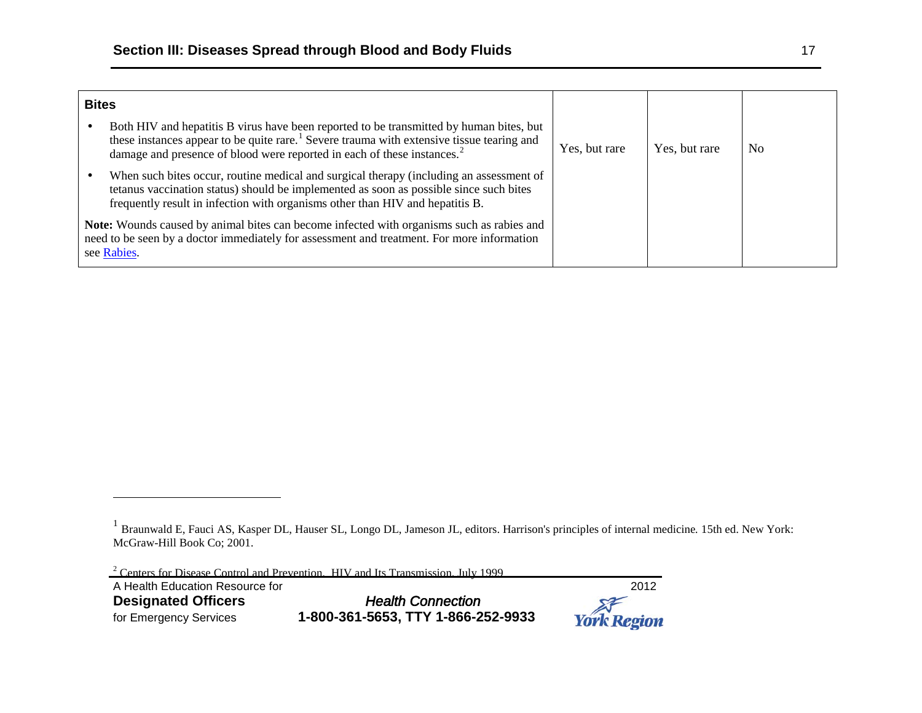-

<span id="page-16-1"></span><span id="page-16-0"></span>

| <b>Bites</b>                                                                                                                                                                                                  |                                                                                                                                                                                                                                                                                         |               |               |                |
|---------------------------------------------------------------------------------------------------------------------------------------------------------------------------------------------------------------|-----------------------------------------------------------------------------------------------------------------------------------------------------------------------------------------------------------------------------------------------------------------------------------------|---------------|---------------|----------------|
|                                                                                                                                                                                                               | Both HIV and hepatitis B virus have been reported to be transmitted by human bites, but<br>these instances appear to be quite rare. <sup>1</sup> Severe trauma with extensive tissue tearing and<br>damage and presence of blood were reported in each of these instances. <sup>2</sup> | Yes, but rare | Yes, but rare | N <sub>0</sub> |
|                                                                                                                                                                                                               | When such bites occur, routine medical and surgical therapy (including an assessment of<br>tetanus vaccination status) should be implemented as soon as possible since such bites<br>frequently result in infection with organisms other than HIV and hepatitis B.                      |               |               |                |
| <b>Note:</b> Wounds caused by animal bites can become infected with organisms such as rabies and<br>need to be seen by a doctor immediately for assessment and treatment. For more information<br>see Rabies. |                                                                                                                                                                                                                                                                                         |               |               |                |

<sup>2</sup> Centers for Disease Control and Prevention. HIV and Its Transmission. July 1999. A Health Education Resource for<br> **Designated Officers**2012 **Designated Officers** *for Emergency Services* for Emergency Services **1-800-361-5653, TTY 1-866-252-9933 York Region** 

<sup>1</sup> Braunwald E, Fauci AS, Kasper DL, Hauser SL, Longo DL, Jameson JL, editors. Harrison's principles of internal medicine*.* 15th ed. New York: McGraw-Hill Book Co; 2001.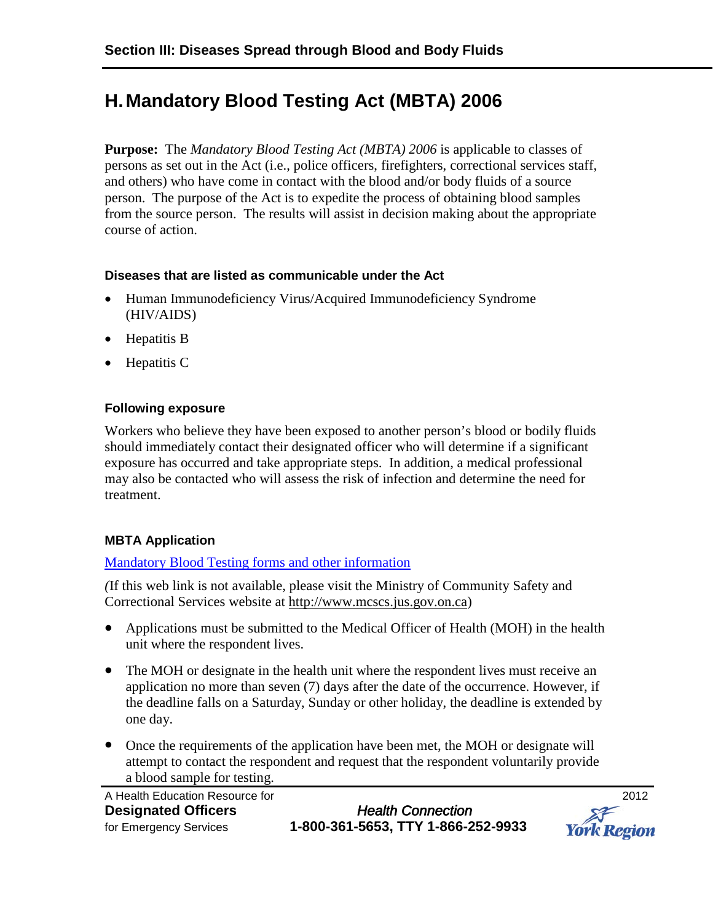# **H.Mandatory Blood Testing Act (MBTA) 2006**

**Purpose:** The *Mandatory Blood Testing Act (MBTA) 2006* is applicable to classes of persons as set out in the Act (i.e., police officers, firefighters, correctional services staff, and others) who have come in contact with the blood and/or body fluids of a source person. The purpose of the Act is to expedite the process of obtaining blood samples from the source person. The results will assist in decision making about the appropriate course of action.

#### **Diseases that are listed as communicable under the Act**

- Human Immunodeficiency Virus/Acquired Immunodeficiency Syndrome (HIV/AIDS)
- Hepatitis B
- Hepatitis C

#### **Following exposure**

Workers who believe they have been exposed to another person's blood or bodily fluids should immediately contact their designated officer who will determine if a significant exposure has occurred and take appropriate steps. In addition, a medical professional may also be contacted who will assess the risk of infection and determine the need for treatment.

#### **MBTA Application**

#### [Mandatory Blood Testing forms and other information](http://www.mcscs.jus.gov.on.ca/english/LinksResources/MandatoryBloodTesting/blood_testing.html)

*(*If this web link is not available, please visit the Ministry of Community Safety and Correctional Services website at [http://www.mcscs.jus.gov.on.ca\)](http://www.mcscs.jus.gov.on.ca/)

- Applications must be submitted to the Medical Officer of Health (MOH) in the health unit where the respondent lives.
- The MOH or designate in the health unit where the respondent lives must receive an application no more than seven (7) days after the date of the occurrence. However, if the deadline falls on a Saturday, Sunday or other holiday, the deadline is extended by one day.
- Once the requirements of the application have been met, the MOH or designate will attempt to contact the respondent and request that the respondent voluntarily provide a blood sample for testing.